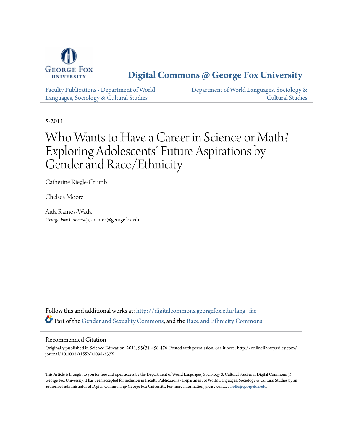

### **[Digital Commons @ George Fox University](http://digitalcommons.georgefox.edu?utm_source=digitalcommons.georgefox.edu%2Flang_fac%2F18&utm_medium=PDF&utm_campaign=PDFCoverPages)**

[Faculty Publications - Department of World](http://digitalcommons.georgefox.edu/lang_fac?utm_source=digitalcommons.georgefox.edu%2Flang_fac%2F18&utm_medium=PDF&utm_campaign=PDFCoverPages) [Languages, Sociology & Cultural Studies](http://digitalcommons.georgefox.edu/lang_fac?utm_source=digitalcommons.georgefox.edu%2Flang_fac%2F18&utm_medium=PDF&utm_campaign=PDFCoverPages)

[Department of World Languages, Sociology &](http://digitalcommons.georgefox.edu/lang?utm_source=digitalcommons.georgefox.edu%2Flang_fac%2F18&utm_medium=PDF&utm_campaign=PDFCoverPages) [Cultural Studies](http://digitalcommons.georgefox.edu/lang?utm_source=digitalcommons.georgefox.edu%2Flang_fac%2F18&utm_medium=PDF&utm_campaign=PDFCoverPages)

5-2011

# Who Wants to Have a Career in Science or Math? Exploring Adolescents' Future Aspirations by Gender and Race/Ethnicity

Catherine Riegle-Crumb

Chelsea Moore

Aida Ramos-Wada *George Fox University*, aramos@georgefox.edu

Follow this and additional works at: [http://digitalcommons.georgefox.edu/lang\\_fac](http://digitalcommons.georgefox.edu/lang_fac?utm_source=digitalcommons.georgefox.edu%2Flang_fac%2F18&utm_medium=PDF&utm_campaign=PDFCoverPages) Part of the [Gender and Sexuality Commons](http://network.bepress.com/hgg/discipline/420?utm_source=digitalcommons.georgefox.edu%2Flang_fac%2F18&utm_medium=PDF&utm_campaign=PDFCoverPages), and the [Race and Ethnicity Commons](http://network.bepress.com/hgg/discipline/426?utm_source=digitalcommons.georgefox.edu%2Flang_fac%2F18&utm_medium=PDF&utm_campaign=PDFCoverPages)

#### Recommended Citation

Originally published in Science Education, 2011, 95(3), 458-476. Posted with permission. See it here: http://onlinelibrary.wiley.com/ journal/10.1002/(ISSN)1098-237X

This Article is brought to you for free and open access by the Department of World Languages, Sociology & Cultural Studies at Digital Commons @ George Fox University. It has been accepted for inclusion in Faculty Publications - Department of World Languages, Sociology & Cultural Studies by an authorized administrator of Digital Commons @ George Fox University. For more information, please contact [arolfe@georgefox.edu.](mailto:arolfe@georgefox.edu)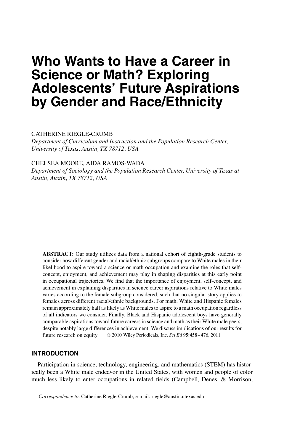## **Who Wants to Have a Career in Science or Math? Exploring Adolescents' Future Aspirations by Gender and Race/Ethnicity**

#### CATHERINE RIEGLE-CRUMB

*Department of Curriculum and Instruction and the Population Research Center, University of Texas, Austin, TX 78712, USA*

#### CHELSEA MOORE, AIDA RAMOS-WADA

*Department of Sociology and the Population Research Center, University of Texas at Austin, Austin, TX 78712, USA*

**ABSTRACT:** Our study utilizes data from a national cohort of eighth-grade students to consider how different gender and racial/ethnic subgroups compare to White males in their likelihood to aspire toward a science or math occupation and examine the roles that selfconcept, enjoyment, and achievement may play in shaping disparities at this early point in occupational trajectories. We find that the importance of enjoyment, self-concept, and achievement in explaining disparities in science career aspirations relative to White males varies according to the female subgroup considered, such that no singular story applies to females across different racial/ethnic backgrounds. For math, White and Hispanic females remain approximately half as likely as White males to aspire to a math occupation regardless of all indicators we consider. Finally, Black and Hispanic adolescent boys have generally comparable aspirations toward future careers in science and math as their White male peers, despite notably large differences in achievement. We discuss implications of our results for future research on equity. <sup>C</sup> 2010 Wiley Periodicals, Inc. *Sci Ed* **95:**458 – 476, 2011

#### **INTRODUCTION**

Participation in science, technology, engineering, and mathematics (STEM) has historically been a White male endeavor in the United States, with women and people of color much less likely to enter occupations in related fields (Campbell, Denes, & Morrison,

*Correspondence to*: Catherine Riegle-Crumb; e-mail: riegle@austin.utexas.edu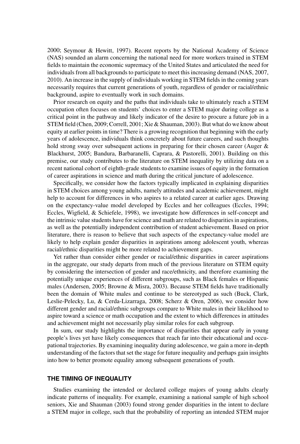2000; Seymour & Hewitt, 1997). Recent reports by the National Academy of Science (NAS) sounded an alarm concerning the national need for more workers trained in STEM fields to maintain the economic supremacy of the United States and articulated the need for individuals from all backgrounds to participate to meet this increasing demand (NAS, 2007, 2010). An increase in the supply of individuals working in STEM fields in the coming years necessarily requires that current generations of youth, regardless of gender or racial/ethnic background, aspire to eventually work in such domains.

Prior research on equity and the paths that individuals take to ultimately reach a STEM occupation often focuses on students' choices to enter a STEM major during college as a critical point in the pathway and likely indicator of the desire to procure a future job in a STEM field (Chen, 2009; Correll, 2001; Xie & Shauman, 2003). But what do we know about equity at earlier points in time? There is a growing recognition that beginning with the early years of adolescence, individuals think concretely about future careers, and such thoughts hold strong sway over subsequent actions in preparing for their chosen career (Auger & Blackhurst, 2005; Bandura, Barbaranelli, Caprara, & Pastorelli, 2001). Building on this premise, our study contributes to the literature on STEM inequality by utilizing data on a recent national cohort of eighth-grade students to examine issues of equity in the formation of career aspirations in science and math during the critical juncture of adolescence.

Specifically, we consider how the factors typically implicated in explaining disparities in STEM choices among young adults, namely attitudes and academic achievement, might help to account for differences in who aspires to a related career at earlier ages. Drawing on the expectancy-value model developed by Eccles and her colleagues (Eccles, 1994; Eccles, Wigfield, & Schiefele, 1998), we investigate how differences in self-concept and the intrinsic value students have for science and math are related to disparities in aspirations, as well as the potentially independent contribution of student achievement. Based on prior literature, there is reason to believe that such aspects of the expectancy-value model are likely to help explain gender disparities in aspirations among adolescent youth, whereas racial/ethnic disparities might be more related to achievement gaps.

Yet rather than consider either gender or racial/ethnic disparities in career aspirations in the aggregate, our study departs from much of the previous literature on STEM equity by considering the intersection of gender and race/ethnicity, and therefore examining the potentially unique experiences of different subgroups, such as Black females or Hispanic males (Andersen, 2005; Browne & Misra, 2003). Because STEM fields have traditionally been the domain of White males and continue to be stereotyped as such (Buck, Clark, Leslie-Pelecky, Lu, & Cerda-Lizarraga, 2008; Scherz & Oren, 2006), we consider how different gender and racial/ethnic subgroups compare to White males in their likelihood to aspire toward a science or math occupation and the extent to which differences in attitudes and achievement might not necessarily play similar roles for each subgroup.

In sum, our study highlights the importance of disparities that appear early in young people's lives yet have likely consequences that reach far into their educational and occupational trajectories. By examining inequality during adolescence, we gain a more in-depth understanding of the factors that set the stage for future inequality and perhaps gain insights into how to better promote equality among subsequent generations of youth.

#### **THE TIMING OF INEQUALITY**

Studies examining the intended or declared college majors of young adults clearly indicate patterns of inequality. For example, examining a national sample of high school seniors, Xie and Shauman (2003) found strong gender disparities in the intent to declare a STEM major in college, such that the probability of reporting an intended STEM major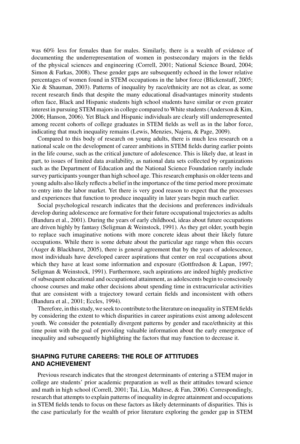was 60% less for females than for males. Similarly, there is a wealth of evidence of documenting the underrepresentation of women in postsecondary majors in the fields of the physical sciences and engineering (Correll, 2001; National Science Board, 2004; Simon & Farkas, 2008). These gender gaps are subsequently echoed in the lower relative percentages of women found in STEM occupations in the labor force (Blickenstaff, 2005; Xie & Shauman, 2003). Patterns of inequality by race/ethnicity are not as clear, as some recent research finds that despite the many educational disadvantages minority students often face, Black and Hispanic students high school students have similar or even greater interest in pursuing STEM majors in college compared to White students (Anderson & Kim, 2006; Hanson, 2006). Yet Black and Hispanic individuals are clearly still underrepresented among recent cohorts of college graduates in STEM fields as well as in the labor force, indicating that much inequality remains (Lewis, Menzies, Najera, & Page, 2009).

Compared to this body of research on young adults, there is much less research on a national scale on the development of career ambitions in STEM fields during earlier points in the life course, such as the critical juncture of adolescence. This is likely due, at least in part, to issues of limited data availability, as national data sets collected by organizations such as the Department of Education and the National Science Foundation rarely include survey participants younger than high school age. This research emphasis on older teens and young adults also likely reflects a belief in the importance of the time period more proximate to entry into the labor market. Yet there is very good reason to expect that the processes and experiences that function to produce inequality in later years begin much earlier.

Social psychological research indicates that the decisions and preferences individuals develop during adolescence are formative for their future occupational trajectories as adults (Bandura et al., 2001). During the years of early childhood, ideas about future occupations are driven highly by fantasy (Seligman & Weinstock, 1991). As they get older, youth begin to replace such imaginative notions with more concrete ideas about their likely future occupations. While there is some debate about the particular age range when this occurs (Auger & Blackhurst, 2005), there is general agreement that by the years of adolescence, most individuals have developed career aspirations that center on real occupations about which they have at least some information and exposure (Gottfredson & Lapan, 1997; Seligman & Weinstock, 1991). Furthermore, such aspirations are indeed highly predictive of subsequent educational and occupational attainment, as adolescents begin to consciously choose courses and make other decisions about spending time in extracurricular activities that are consistent with a trajectory toward certain fields and inconsistent with others (Bandura et al., 2001; Eccles, 1994).

Therefore, in this study, we seek to contribute to the literature on inequality in STEM fields by considering the extent to which disparities in career aspirations exist among adolescent youth. We consider the potentially divergent patterns by gender and race/ethnicity at this time point with the goal of providing valuable information about the early emergence of inequality and subsequently highlighting the factors that may function to decrease it.

#### **SHAPING FUTURE CAREERS: THE ROLE OF ATTITUDES AND ACHIEVEMENT**

Previous research indicates that the strongest determinants of entering a STEM major in college are students' prior academic preparation as well as their attitudes toward science and math in high school (Correll, 2001; Tai, Liu, Maltese, & Fan, 2006). Correspondingly, research that attempts to explain patterns of inequality in degree attainment and occupations in STEM fields tends to focus on these factors as likely determinants of disparities. This is the case particularly for the wealth of prior literature exploring the gender gap in STEM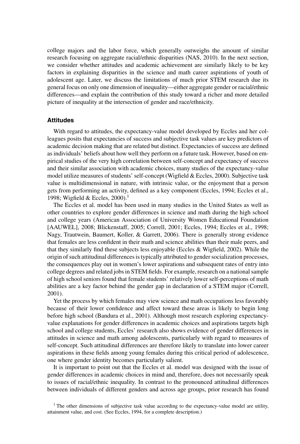college majors and the labor force, which generally outweighs the amount of similar research focusing on aggregate racial/ethnic disparities (NAS, 2010). In the next section, we consider whether attitudes and academic achievement are similarly likely to be key factors in explaining disparities in the science and math career aspirations of youth of adolescent age. Later, we discuss the limitations of much prior STEM research due its general focus on only one dimension of inequality—either aggregate gender or racial/ethnic differences—and explain the contribution of this study toward a richer and more detailed picture of inequality at the intersection of gender and race/ethnicity.

#### **Attitudes**

With regard to attitudes, the expectancy-value model developed by Eccles and her colleagues posits that expectancies of success and subjective task values are key predictors of academic decision making that are related but distinct. Expectancies of success are defined as individuals' beliefs about how well they perform on a future task. However, based on empirical studies of the very high correlation between self-concept and expectancy of success and their similar association with academic choices, many studies of the expectancy-value model utilize measures of students' self-concept (Wigfield & Eccles, 2000). Subjective task value is multidimensional in nature, with intrinsic value, or the enjoyment that a person gets from performing an activity, defined as a key component (Eccles, 1994; Eccles et al., 1998; Wigfield & Eccles,  $2000$ .<sup>1</sup>

The Eccles et al. model has been used in many studies in the United States as well as other countries to explore gender differences in science and math during the high school and college years (American Association of University Women Educational Foundation [AAUWEL], 2008; Blickenstaff, 2005; Correll, 2001; Eccles, 1994; Eccles et al., 1998; Nagy, Trautwein, Baumert, Koller, & Garrett, 2006). There is generally strong evidence that females are less confident in their math and science abilities than their male peers, and that they similarly find these subjects less enjoyable (Eccles & Wigfield, 2002). While the origin of such attitudinal differences is typically attributed to gender socialization processes, the consequences play out in women's lower aspirations and subsequent rates of entry into college degrees and related jobs in STEM fields. For example, research on a national sample of high school seniors found that female students' relatively lower self-perceptions of math abilities are a key factor behind the gender gap in declaration of a STEM major (Correll, 2001).

Yet the process by which females may view science and math occupations less favorably because of their lower confidence and affect toward these areas is likely to begin long before high school (Bandura et al., 2001). Although most research exploring expectancyvalue explanations for gender differences in academic choices and aspirations targets high school and college students, Eccles' research also shows evidence of gender differences in attitudes in science and math among adolescents, particularly with regard to measures of self-concept. Such attitudinal differences are therefore likely to translate into lower career aspirations in these fields among young females during this critical period of adolescence, one where gender identity becomes particularly salient.

It is important to point out that the Eccles et al. model was designed with the issue of gender differences in academic choices in mind and, therefore, does not necessarily speak to issues of racial/ethnic inequality. In contrast to the pronounced attitudinal differences between individuals of different genders and across age groups, prior research has found

<sup>&</sup>lt;sup>1</sup> The other dimensions of subjective task value according to the expectancy-value model are utility, attainment value, and cost. (See Eccles, 1994, for a complete description.)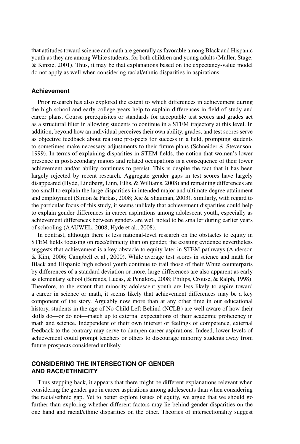that attitudes toward science and math are generally as favorable among Black and Hispanic youth as they are among White students, for both children and young adults (Muller, Stage, & Kinzie, 2001). Thus, it may be that explanations based on the expectancy-value model do not apply as well when considering racial/ethnic disparities in aspirations.

#### **Achievement**

Prior research has also explored the extent to which differences in achievement during the high school and early college years help to explain differences in field of study and career plans. Course prerequisites or standards for acceptable test scores and grades act as a structural filter in allowing students to continue in a STEM trajectory at this level. In addition, beyond how an individual perceives their own ability, grades, and test scores serve as objective feedback about realistic prospects for success in a field, prompting students to sometimes make necessary adjustments to their future plans (Schneider  $\&$  Stevenson, 1999). In terms of explaining disparities in STEM fields, the notion that women's lower presence in postsecondary majors and related occupations is a consequence of their lower achievement and/or ability continues to persist. This is despite the fact that it has been largely rejected by recent research. Aggregate gender gaps in test scores have largely disappeared (Hyde, Lindberg, Linn, Ellis, & Williams, 2008) and remaining differences are too small to explain the large disparities in intended major and ultimate degree attainment and employment (Simon & Farkas, 2008; Xie & Shauman, 2003). Similarly, with regard to the particular focus of this study, it seems unlikely that achievement disparities could help to explain gender differences in career aspirations among adolescent youth, especially as achievement differences between genders are well noted to be smaller during earlier years of schooling (AAUWEL, 2008; Hyde et al., 2008).

In contrast, although there is less national-level research on the obstacles to equity in STEM fields focusing on race/ethnicity than on gender, the existing evidence nevertheless suggests that achievement is a key obstacle to equity later in STEM pathways (Anderson & Kim, 2006; Campbell et al., 2000). While average test scores in science and math for Black and Hispanic high school youth continue to trail those of their White counterparts by differences of a standard deviation or more, large differences are also apparent as early as elementary school (Berends, Lucas, & Penaloza, 2008; Philips, Crouse, & Ralph, 1998). Therefore, to the extent that minority adolescent youth are less likely to aspire toward a career in science or math, it seems likely that achievement differences may be a key component of the story. Arguably now more than at any other time in our educational history, students in the age of No Child Left Behind (NCLB) are well aware of how their skills do—or do not—match up to external expectations of their academic proficiency in math and science. Independent of their own interest or feelings of competence, external feedback to the contrary may serve to dampen career aspirations. Indeed, lower levels of achievement could prompt teachers or others to discourage minority students away from future prospects considered unlikely.

#### **CONSIDERING THE INTERSECTION OF GENDER AND RACE/ETHNICITY**

Thus stepping back, it appears that there might be different explanations relevant when considering the gender gap in career aspirations among adolescents than when considering the racial/ethnic gap. Yet to better explore issues of equity, we argue that we should go further than exploring whether different factors may lie behind gender disparities on the one hand and racial/ethnic disparities on the other. Theories of intersectionality suggest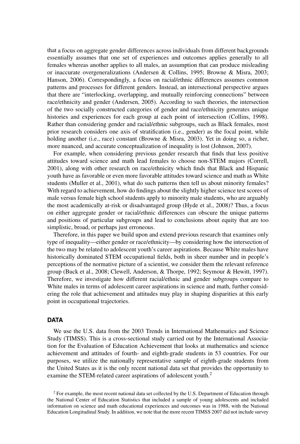that a focus on aggregate gender differences across individuals from different backgrounds essentially assumes that one set of experiences and outcomes applies generally to all females whereas another applies to all males, an assumption that can produce misleading or inaccurate overgeneralizations (Andersen & Collins, 1995; Browne & Misra, 2003; Hanson, 2006). Correspondingly, a focus on racial/ethnic differences assumes common patterns and processes for different genders. Instead, an intersectional perspective argues that there are "interlocking, overlapping, and mutually reinforcing connections" between race/ethnicity and gender (Andersen, 2005). According to such theories, the intersection of the two socially constructed categories of gender and race/ethnicity generates unique histories and experiences for each group at each point of intersection (Collins, 1998). Rather than considering gender and racial/ethnic subgroups, such as Black females, most prior research considers one axis of stratification (i.e., gender) as the focal point, while holding another (i.e., race) constant (Browne & Misra, 2003). Yet in doing so, a richer, more nuanced, and accurate conceptualization of inequality is lost (Johnson, 2007).

For example, when considering previous gender research that finds that less positive attitudes toward science and math lead females to choose non-STEM majors (Correll, 2001), along with other research on race/ethnicity which finds that Black and Hispanic youth have as favorable or even more favorable attitudes toward science and math as White students (Muller et al., 2001), what do such patterns then tell us about minority females? With regard to achievement, how do findings about the slightly higher science test scores of male versus female high school students apply to minority male students, who are arguably the most academically at-risk or disadvantaged group (Hyde et al., 2008)? Thus, a focus on either aggregate gender or racial/ethnic differences can obscure the unique patterns and positions of particular subgroups and lead to conclusions about equity that are too simplistic, broad, or perhaps just erroneous.

Therefore, in this paper we build upon and extend previous research that examines only type of inequality—either gender or race/ethnicity—by considering how the intersection of the two may be related to adolescent youth's career aspirations. Because White males have historically dominated STEM occupational fields, both in sheer number and in people's perceptions of the normative picture of a scientist, we consider them the relevant reference group (Buck et al., 2008; Clewell, Anderson, & Thorpe, 1992; Seymour & Hewitt, 1997). Therefore, we investigate how different racial/ethnic and gender subgroups compare to White males in terms of adolescent career aspirations in science and math, further considering the role that achievement and attitudes may play in shaping disparities at this early point in occupational trajectories.

#### **DATA**

We use the U.S. data from the 2003 Trends in International Mathematics and Science Study (TIMSS). This is a cross-sectional study carried out by the International Association for the Evaluation of Education Achievement that looks at mathematics and science achievement and attitudes of fourth- and eighth-grade students in 53 countries. For our purposes, we utilize the nationally representative sample of eighth-grade students from the United States as it is the only recent national data set that provides the opportunity to examine the STEM-related career aspirations of adolescent youth.<sup>2</sup>

<sup>&</sup>lt;sup>2</sup> For example, the most recent national data set collected by the U.S. Department of Education through the National Center of Education Statistics that included a sample of young adolescents and included information on science and math educational experiences and outcomes was in 1988, with the National Education Longitudinal Study. In addition, we note that the more recent TIMSS 2007 did not include survey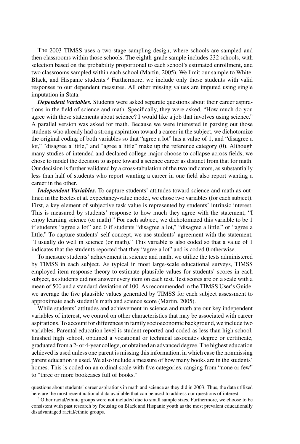The 2003 TIMSS uses a two-stage sampling design, where schools are sampled and then classrooms within those schools. The eighth-grade sample includes 232 schools, with selection based on the probability proportional to each school's estimated enrollment, and two classrooms sampled within each school (Martin, 2005). We limit our sample to White, Black, and Hispanic students. $3$  Furthermore, we include only those students with valid responses to our dependent measures. All other missing values are imputed using single imputation in Stata.

*Dependent Variables.* Students were asked separate questions about their career aspirations in the field of science and math. Specifically, they were asked, "How much do you agree with these statements about science? I would like a job that involves using science." A parallel version was asked for math. Because we were interested in parsing out those students who already had a strong aspiration toward a career in the subject, we dichotomize the original coding of both variables so that "agree a lot" has a value of 1, and "disagree a lot," "disagree a little," and "agree a little" make up the reference category (0). Although many studies of intended and declared college major choose to collapse across fields, we chose to model the decision to aspire toward a science career as distinct from that for math. Our decision is further validated by a cross-tabulation of the two indicators, as substantially less than half of students who report wanting a career in one field also report wanting a career in the other.

*Independent Variables.* To capture students' attitudes toward science and math as outlined in the Eccles et al. expectancy-value model, we chose two variables (for each subject). First, a key element of subjective task value is represented by students' intrinsic interest. This is measured by students' response to how much they agree with the statement, "I enjoy learning science (or math)." For each subject, we dichotomized this variable to be 1 if students "agree a lot" and 0 if students "disagree a lot," "disagree a little," or "agree a little." To capture students' self-concept, we use students' agreement with the statement, "I usually do well in science (or math)." This variable is also coded so that a value of 1 indicates that the students reported that they "agree a lot" and is coded 0 otherwise.

To measure students' achievement in science and math, we utilize the tests administered by TIMSS in each subject. As typical in most large-scale educational surveys, TIMSS employed item response theory to estimate plausible values for students' scores in each subject, as students did not answer every item on each test. Test scores are on a scale with a mean of 500 and a standard deviation of 100. As recommended in the TIMSS User's Guide, we average the five plausible values generated by TIMSS for each subject assessment to approximate each student's math and science score (Martin, 2005).

While students' attitudes and achievement in science and math are our key independent variables of interest, we control on other characteristics that may be associated with career aspirations. To account for differences in family socioeconomic background, we include two variables. Parental education level is student reported and coded as less than high school, finished high school, obtained a vocational or technical associates degree or certificate, graduated from a 2- or 4-year college, or obtained an advanced degree. The highest education achieved is used unless one parent is missing this information, in which case the nonmissing parent education is used. We also include a measure of how many books are in the students' homes. This is coded on an ordinal scale with five categories, ranging from "none or few" to "three or more bookcases full of books."

questions about students' career aspirations in math and science as they did in 2003. Thus, the data utilized here are the most recent national data available that can be used to address our questions of interest.

<sup>&</sup>lt;sup>3</sup> Other racial/ethnic groups were not included due to small sample sizes. Furthermore, we choose to be consistent with past research by focusing on Black and Hispanic youth as the most prevalent educationally disadvantaged racial/ethnic groups.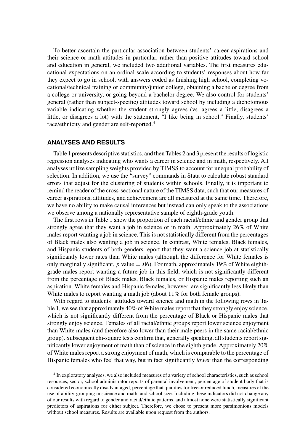To better ascertain the particular association between students' career aspirations and their science or math attitudes in particular, rather than positive attitudes toward school and education in general, we included two additional variables. The first measures educational expectations on an ordinal scale according to students' responses about how far they expect to go in school, with answers coded as finishing high school, completing vocational/technical training or community/junior college, obtaining a bachelor degree from a college or university, or going beyond a bachelor degree. We also control for students' general (rather than subject-specific) attitudes toward school by including a dichotomous variable indicating whether the student strongly agrees (vs. agrees a little, disagrees a little, or disagrees a lot) with the statement, "I like being in school." Finally, students' race/ethnicity and gender are self-reported.<sup>4</sup>

#### **ANALYSES AND RESULTS**

Table 1 presents descriptive statistics, and then Tables 2 and 3 present the results of logistic regression analyses indicating who wants a career in science and in math, respectively. All analyses utilize sampling weights provided by TIMSS to account for unequal probability of selection. In addition, we use the "survey" commands in Stata to calculate robust standard errors that adjust for the clustering of students within schools. Finally, it is important to remind the reader of the cross-sectional nature of the TIMSS data, such that our measures of career aspirations, attitudes, and achievement are all measured at the same time. Therefore, we have no ability to make causal inferences but instead can only speak to the associations we observe among a nationally representative sample of eighth-grade youth.

The first rows in Table 1 show the proportion of each racial/ethnic and gender group that strongly agree that they want a job in science or in math. Approximately 26% of White males report wanting a job in science. This is not statistically different from the percentages of Black males also wanting a job in science. In contrast, White females, Black females, and Hispanic students of both genders report that they want a science job at statistically significantly lower rates than White males (although the difference for White females is only marginally significant, *p* value = .06). For math, approximately 19% of White eighthgrade males report wanting a future job in this field, which is not significantly different from the percentage of Black males, Black females, or Hispanic males reporting such an aspiration. White females and Hispanic females, however, are significantly less likely than White males to report wanting a math job (about 11% for both female groups).

With regard to students' attitudes toward science and math in the following rows in Table 1, we see that approximately 40% of White males report that they strongly enjoy science, which is not significantly different from the percentage of Black or Hispanic males that strongly enjoy science. Females of all racial/ethnic groups report lower science enjoyment than White males (and therefore also lower than their male peers in the same racial/ethnic group). Subsequent chi-square tests confirm that, generally speaking, all students report significantly lower enjoyment of math than of science in the eighth grade. Approximately 20% of White males report a strong enjoyment of math, which is comparable to the percentage of Hispanic females who feel that way, but in fact significantly *lower* than the corresponding

<sup>4</sup> In exploratory analyses, we also included measures of a variety of school characteristics, such as school resources, sector, school administrator reports of parental involvement, percentage of student body that is considered economically disadvantaged, percentage that qualifies for free or reduced lunch, measures of the use of ability-grouping in science and math, and school size. Including these indicators did not change any of our results with regard to gender and racial/ethnic patterns, and almost none were statistically significant predictors of aspirations for either subject. Therefore, we chose to present more parsimonious models without school measures. Results are available upon request from the authors.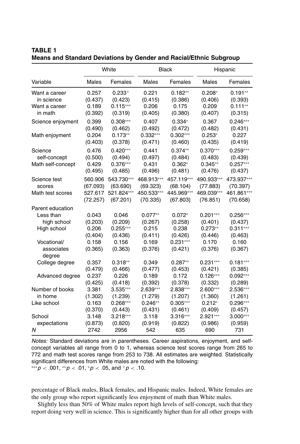|                                                             |                                                 | White                                                     | <b>Black</b>                                     |                                                        | Hispanic                                                 |                                                           |
|-------------------------------------------------------------|-------------------------------------------------|-----------------------------------------------------------|--------------------------------------------------|--------------------------------------------------------|----------------------------------------------------------|-----------------------------------------------------------|
| Variable                                                    | Males                                           | Females                                                   | Males                                            | Females                                                | Males                                                    | Females                                                   |
| Want a career<br>in science<br>Want a career<br>in math     | 0.257<br>(0.437)<br>0.189<br>(0.392)            | $0.233^{+}$<br>(0.423)<br>$0.115***$<br>(0.319)           | 0.221<br>(0.415)<br>0.206<br>(0.405)             | $0.182**$<br>(0.386)<br>0.175<br>(0.380)               | $0.208*$<br>(0.406)<br>0.209<br>(0.407)                  | $0.191**$<br>(0.393)<br>$0.111**$<br>(0.315)              |
| Science enjoyment<br>Math enjoyment                         | 0.399<br>(0.490)<br>0.204                       | $0.308***$<br>(0.462)<br>$0.173**$                        | 0.407<br>(0.492)<br>$0.332***$                   | $0.334*$<br>(0.472)<br>$0.302***$                      | 0.367<br>(0.482)<br>$0.253*$                             | $0.246***$<br>(0.431)<br>0.227                            |
| Science<br>self-concept<br>Math self-concept                | (0.403)<br>0.476<br>(0.500)<br>0.429<br>(0.495) | (0.378)<br>$0.420***$<br>(0.494)<br>$0.376***$<br>(0.485) | (0.471)<br>0.441<br>(0.497)<br>0.431<br>(0.496)  | (0.460)<br>$0.374**$<br>(0.484)<br>$0.362*$<br>(0.481) | (0.435)<br>$0.370***$<br>(0.483)<br>$0.345**$<br>(0.476) | (0.419)<br>$0.259***$<br>(0.439)<br>$0.257***$<br>(0.437) |
| Science test<br>scores<br>Math test scores                  | 560.906<br>(67.093)<br>527.617<br>(72.257)      | 543.730***<br>(63.690)<br>521.824***<br>(67.201)          | 468.913***<br>(69.323)<br>450.533***<br>(70.335) | 457.119***<br>(68.104)<br>445.969***<br>(67.803)       | 490.933***<br>(77.883)<br>469.039***<br>(76.851)         | 473.937***<br>(70.397)<br>461.861***<br>(70.658)          |
| Parent education<br>Less than<br>high school<br>High school | 0.043<br>(0.203)<br>0.206<br>(0.404)            | 0.046<br>(0.209)<br>$0.255***$<br>(0.436)                 | $0.077**$<br>(0.267)<br>0.215<br>(0.411)         | $0.072*$<br>(0.258)<br>0.238<br>(0.426)                | $0.201***$<br>(0.401)<br>$0.273**$<br>(0.446)            | $0.256***$<br>(0.437)<br>$0.311***$<br>(0.463)            |
| Vocational/<br>associates<br>degree<br>College degree       | 0.158<br>(0.365)<br>0.357                       | 0.156<br>(0.363)<br>$0.318**$                             | 0.169<br>(0.376)<br>0.349                        | $0.231***$<br>(0.421)<br>$0.287**$                     | 0.170<br>(0.376)<br>$0.231***$                           | 0.160<br>(0.367)<br>$0.181***$                            |
| Advanced degree                                             | (0.479)<br>0.237<br>(0.425)                     | (0.466)<br>0.226<br>(0.418)                               | (0.477)<br>0.189<br>(0.392)                      | (0.453)<br>0.172<br>(0.378)                            | (0.421)<br>$0.126***$<br>(0.332)                         | (0.385)<br>$0.092***$<br>(0.289)                          |
| Number of books<br>in home<br>Like school                   | 3.381<br>(1.302)<br>0.163<br>(0.370)            | $3.535***$<br>(1.239)<br>$0.268***$<br>(0.443)            | $2.639***$<br>(1.279)<br>$0.246**$<br>(0.431)    | 2.838***<br>(1.207)<br>$0.305***$<br>(0.461)           | 2.600***<br>(1.360)<br>$0.212*$<br>(0.409)               | 2.536***<br>(1.261)<br>$0.296***$<br>(0.457)              |
| School<br>expectations<br>N                                 | 3.148<br>(0.873)<br>2742                        | $3.218***$<br>(0.820)<br>2956                             | 3.118<br>(0.919)<br>542                          | $3.316***$<br>(0.822)<br>635                           | 2.921 ***<br>(0.986)<br>690                              | $3.000***$<br>(0.959)<br>731                              |

**TABLE 1 Means and Standard Deviations by Gender and Racial/Ethnic Subgroup**

Notes: Standard deviations are in parentheses. Career aspirations, enjoyment, and selfconcept variables all range from 0 to 1, whereas science test scores range from 265 to 772 and math test scores range from 253 to 738. All estimates are weighted. Statistically significant differences from White males are noted with the following: ∗∗∗p *< .*001, ∗∗p *< .*01, <sup>∗</sup>p *< .*05, and <sup>+</sup>p *< .*10.

percentage of Black males, Black females, and Hispanic males. Indeed, White females are the only group who report significantly less enjoyment of math than White males.

Slightly less than 50% of White males report high levels of self-concept, such that they report doing very well in science. This is significantly higher than for all other groups with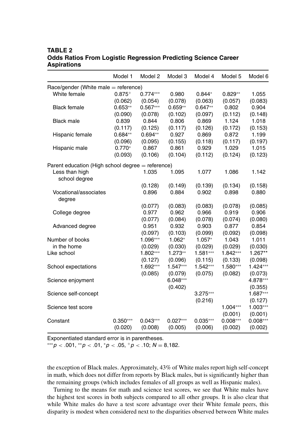|                                                   | Model 1     | Model 2    | Model 3    | Model 4    | Model 5    | Model 6    |
|---------------------------------------------------|-------------|------------|------------|------------|------------|------------|
| Race/gender (White male $=$ reference)            |             |            |            |            |            |            |
| White female                                      | $0.875^{+}$ | $0.774***$ | 0.980      | $0.844*$   | $0.829**$  | 1.055      |
|                                                   | (0.062)     | (0.054)    | (0.078)    | (0.063)    | (0.057)    | (0.083)    |
| <b>Black female</b>                               | $0.653**$   | $0.567***$ | $0.659**$  | $0.647**$  | 0.802      | 0.904      |
|                                                   | (0.090)     | (0.078)    | (0.102)    | (0.097)    | (0.112)    | (0.148)    |
| <b>Black male</b>                                 | 0.839       | 0.844      | 0.806      | 0.869      | 1.124      | 1.018      |
|                                                   | (0.117)     | (0.125)    | (0.117)    | (0.126)    | (0.172)    | (0.153)    |
| Hispanic female                                   | $0.684**$   | $0.694**$  | 0.927      | 0.869      | 0.872      | 1.199      |
|                                                   | (0.096)     | (0.095)    | (0.155)    | (0.118)    | (0.117)    | (0.197)    |
| Hispanic male                                     | $0.770*$    | 0.867      | 0.861      | 0.929      | 1.029      | 1.015      |
|                                                   | (0.093)     | (0.106)    | (0.104)    | (0.112)    | (0.124)    | (0.123)    |
| Parent education (High school degree = reference) |             |            |            |            |            |            |
| Less than high                                    |             | 1.035      | 1.095      | 1.077      | 1.086      | 1.142      |
| school degree                                     |             |            |            |            |            |            |
|                                                   |             | (0.128)    | (0.149)    | (0.139)    | (0.134)    | (0.158)    |
| Vocational/associates<br>degree                   |             | 0.896      | 0.884      | 0.902      | 0.898      | 0.880      |
|                                                   |             | (0.077)    | (0.083)    | (0.083)    | (0.078)    | (0.085)    |
| College degree                                    |             | 0.977      | 0.962      | 0.966      | 0.919      | 0.906      |
|                                                   |             | (0.077)    | (0.084)    | (0.078)    | (0.074)    | (0.080)    |
| Advanced degree                                   |             | 0.951      | 0.932      | 0.903      | 0.877      | 0.854      |
|                                                   |             | (0.097)    | (0.103)    | (0.099)    | (0.092)    | (0.098)    |
| Number of books                                   |             | 1.096***   | 1.062*     | $1.057*$   | 1.043      | 1.011      |
| in the home                                       |             | (0.029)    | (0.030)    | (0.029)    | (0.029)    | (0.030)    |
| Like school                                       |             | 1.802***   | $1.273**$  | $1.581***$ | $1.842***$ | 1.267**    |
|                                                   |             | (0.127)    | (0.096)    | (0.115)    | (0.133)    | (0.098)    |
| School expectations                               |             | 1.692***   | $1.547***$ | 1.542***   | 1.580***   | $1.424***$ |
|                                                   |             | (0.085)    | (0.079)    | (0.075)    | (0.082)    | (0.073)    |
| Science enjoyment                                 |             |            | $6.048***$ |            |            | 4.878***   |
|                                                   |             |            | (0.402)    |            |            | (0.355)    |
| Science self-concept                              |             |            |            | $3.275***$ |            | 1.687***   |
|                                                   |             |            |            | (0.216)    |            | (0.127)    |
| Science test score                                |             |            |            |            | $1.004***$ | $1.003***$ |
|                                                   |             |            |            |            | (0.001)    | (0.001)    |
| Constant                                          | $0.350***$  | $0.043***$ | $0.027***$ | $0.035***$ | $0.008***$ | $0.008***$ |
|                                                   | (0.020)     | (0.008)    | (0.005)    | (0.006)    | (0.002)    | (0.002)    |

#### **TABLE 2 Odds Ratios From Logistic Regression Predicting Science Career Aspirations**

Exponentiated standard error is in parentheses.

∗∗∗<sup>p</sup> *< .*001, ∗∗<sup>p</sup> *< .*01, <sup>∗</sup><sup>p</sup> *< .*05, <sup>+</sup><sup>p</sup> *< .*10; <sup>N</sup> = 8*,*182.

the exception of Black males. Approximately, 43% of White males report high self-concept in math, which does not differ from reports by Black males, but is significantly higher than the remaining groups (which includes females of all groups as well as Hispanic males).

Turning to the means for math and science test scores, we see that White males have the highest test scores in both subjects compared to all other groups. It is also clear that while White males do have a test score advantage over their White female peers, this disparity is modest when considered next to the disparities observed between White males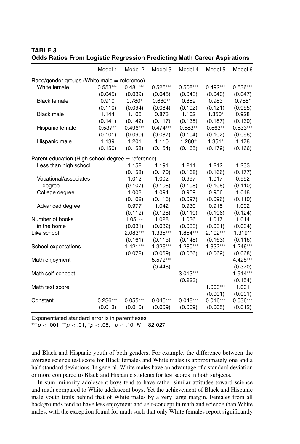|                                                   | Model 1    | Model 2      | Model 3    | Model 4     | Model 5    | Model 6    |
|---------------------------------------------------|------------|--------------|------------|-------------|------------|------------|
| Race/gender groups (White male $=$ reference)     |            |              |            |             |            |            |
| White female                                      | $0.553***$ | $0.481***$   | $0.526***$ | $0.508***$  | $0.492***$ | $0.536***$ |
|                                                   | (0.045)    | (0.039)      | (0.045)    | (0.043)     | (0.040)    | (0.047)    |
| <b>Black female</b>                               | 0.910      | $0.780*$     | $0.680**$  | 0.859       | 0.983      | $0.755*$   |
|                                                   | (0.110)    | (0.094)      | (0.084)    | (0.102)     | (0.121)    | (0.095)    |
| <b>Black male</b>                                 | 1.144      | 1.106        | 0.873      | 1.102       | 1.350*     | 0.928      |
|                                                   | (0.141)    | (0.142)      | (0.117)    | (0.135)     | (0.187)    | (0.130)    |
| Hispanic female                                   | $0.537**$  | $0.496***$   | $0.474***$ | $0.583**$   | $0.563**$  | $0.533***$ |
|                                                   | (0.101)    | (0.090)      | (0.087)    | (0.104)     | (0.102)    | (0.096)    |
| Hispanic male                                     | 1.139      | 1.201        | 1.110      | $1.280^{+}$ | $1.351*$   | 1.178      |
|                                                   | (0.150)    | (0.158)      | (0.154)    | (0.165)     | (0.179)    | (0.166)    |
| Parent education (High school degree = reference) |            |              |            |             |            |            |
| Less than high school                             |            | 1.152        | 1.191      | 1.211       | 1.212      | 1.233      |
|                                                   |            | (0.158)      | (0.170)    | (0.168)     | (0.166)    | (0.177)    |
| Vocational/associates                             |            | 1.012        | 1.002      | 0.997       | 1.017      | 0.992      |
| degree                                            |            | (0.107)      | (0.108)    | (0.108)     | (0.108)    | (0.110)    |
| College degree                                    |            | 1.008        | 1.094      | 0.959       | 0.956      | 1.048      |
|                                                   |            | (0.102)      | (0.116)    | (0.097)     | (0.096)    | (0.110)    |
| Advanced degree                                   |            | 0.977        | 1.042      | 0.930       | 0.915      | 1.002      |
|                                                   |            | (0.112)      | (0.128)    | (0.110)     | (0.106)    | (0.124)    |
| Number of books                                   |            | 1.051 $\sim$ | 1.028      | 1.036       | 1.017      | 1.014      |
| in the home                                       |            | (0.031)      | (0.032)    | (0.033)     | (0.031)    | (0.034)    |
| Like school                                       |            | 2.083***     | 1.335***   | 1.854***    | $2.102***$ | 1.319**    |
|                                                   |            | (0.161)      | (0.115)    | (0.148)     | (0.163)    | (0.116)    |
| School expectations                               |            | $1.421***$   | 1.326***   | 1.280***    | $1.332***$ | 1.246***   |
|                                                   |            | (0.072)      | (0.069)    | (0.066)     | (0.069)    | (0.068)    |
| Math enjoyment                                    |            |              | 5.572***   |             |            | 4.428***   |
|                                                   |            |              | (0.448)    |             |            | (0.370)    |
| Math self-concept                                 |            |              |            | $3.013***$  |            | 1.914***   |
|                                                   |            |              |            | (0.223)     |            | (0.154)    |
| Math test score                                   |            |              |            |             | $1.003***$ | 1.001      |
|                                                   |            |              |            |             | (0.001)    | (0.001)    |
| Constant                                          | $0.236***$ | $0.055***$   | $0.046***$ | $0.048***$  | $0.016***$ | $0.036***$ |
|                                                   | (0.013)    | (0.010)      | (0.009)    | (0.009)     | (0.005)    | (0.012)    |
|                                                   |            |              |            |             |            |            |

**TABLE 3 Odds Ratios From Logistic Regression Predicting Math Career Aspirations**

Exponentiated standard error is in parentheses.

∗∗∗<sup>p</sup> *< .*001, ∗∗<sup>p</sup> *< .*01, <sup>∗</sup><sup>p</sup> *< .*05, <sup>+</sup><sup>p</sup> *< .*10; <sup>N</sup> = 82*,*027.

and Black and Hispanic youth of both genders. For example, the difference between the average science test score for Black females and White males is approximately one and a half standard deviations. In general, White males have an advantage of a standard deviation or more compared to Black and Hispanic students for test scores in both subjects.

In sum, minority adolescent boys tend to have rather similar attitudes toward science and math compared to White adolescent boys. Yet the achievement of Black and Hispanic male youth trails behind that of White males by a very large margin. Females from all backgrounds tend to have less enjoyment and self-concept in math and science than White males, with the exception found for math such that only White females report significantly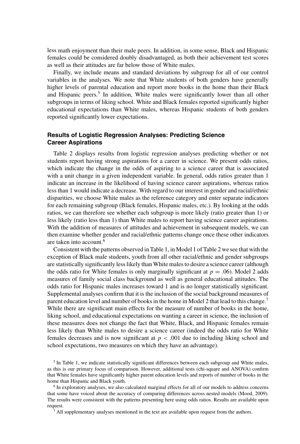less math enjoyment than their male peers. In addition, in some sense, Black and Hispanic females could be considered doubly disadvantaged, as both their achievement test scores as well as their attitudes are far below those of White males.

Finally, we include means and standard deviations by subgroup for all of our control variables in the analyses. We note that White students of both genders have generally higher levels of parental education and report more books in the home than their Black and Hispanic peers.<sup>5</sup> In addition, White males were significantly lower than all other subgroups in terms of liking school. White and Black females reported significantly higher educational expectations than White males, whereas Hispanic students of both genders reported significantly lower expectations.

#### **Results of Logistic Regression Analyses: Predicting Science Career Aspirations**

Table 2 displays results from logistic regression analyses predicting whether or not students report having strong aspirations for a career in science. We present odds ratios, which indicate the change in the odds of aspiring to a science career that is associated with a unit change in a given independent variable. In general, odds ratios greater than 1 indicate an increase in the likelihood of having science career aspirations, whereas ratios less than 1 would indicate a decrease. With regard to our interest in gender and racial/ethnic disparities, we choose White males as the reference category and enter separate indicators for each remaining subgroup (Black females, Hispanic males, etc.). By looking at the odds ratios, we can therefore see whether each subgroup is more likely (ratio greater than 1) or less likely (ratio less than 1) than White males to report having science career aspirations. With the addition of measures of attitudes and achievement in subsequent models, we can then examine whether gender and racial/ethnic patterns change once these other indicators are taken into account.6

Consistent with the patterns observed in Table 1, in Model 1 of Table 2 we see that with the exception of Black male students, youth from all other racial/ethnic and gender subgroups are statistically significantly less likely than White males to desire a science career (although the odds ratio for White females is only marginally significant at  $p = .06$ ). Model 2 adds measures of family social class background as well as general educational attitudes. The odds ratio for Hispanic males increases toward 1 and is no longer statistically significant. Supplemental analyses confirm that it is the inclusion of the social background measures of parent education level and number of books in the home in Model 2 that lead to this change.<sup>7</sup> While there are significant main effects for the measure of number of books in the home, liking school, and educational expectations on wanting a career in science, the inclusion of these measures does not change the fact that White, Black, and Hispanic females remain less likely than White males to desire a science career (indeed the odds ratio for White females decreases and is now significant at  $p < .001$  due to including liking school and school expectations, two measures on which they have an advantage).

<sup>5</sup> In Table 1, we indicate statistically significant differences between each subgroup and White males, as this is our primary focus of comparison. However, additional tests (chi-square and ANOVA) confirm that White females have significantly higher parent education levels and reports of number of books in the home than Hispanic and Black youth.

<sup>6</sup> In exploratory analyses, we also calculated marginal effects for all of our models to address concerns that some have voiced about the accuracy of comparing differences across nested models (Mood, 2009). The results were consistent with the patterns presenting here using odds ratios. Results are available upon request.

 $<sup>7</sup>$  All supplementary analyses mentioned in the text are available upon request from the authors.</sup>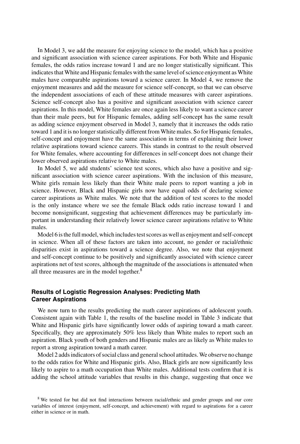In Model 3, we add the measure for enjoying science to the model, which has a positive and significant association with science career aspirations. For both White and Hispanic females, the odds ratios increase toward 1 and are no longer statistically significant. This indicates that White and Hispanic females with the same level of science enjoyment as White males have comparable aspirations toward a science career. In Model 4, we remove the enjoyment measures and add the measure for science self-concept, so that we can observe the independent associations of each of these attitude measures with career aspirations. Science self-concept also has a positive and significant association with science career aspirations. In this model, White females are once again less likely to want a science career than their male peers, but for Hispanic females, adding self-concept has the same result as adding science enjoyment observed in Model 3, namely that it increases the odds ratio toward 1 and it is no longer statistically different from White males. So for Hispanic females, self-concept and enjoyment have the same association in terms of explaining their lower relative aspirations toward science careers. This stands in contrast to the result observed for White females, where accounting for differences in self-concept does not change their lower observed aspirations relative to White males.

In Model 5, we add students' science test scores, which also have a positive and significant association with science career aspirations. With the inclusion of this measure, White girls remain less likely than their White male peers to report wanting a job in science. However, Black and Hispanic girls now have equal odds of declaring science career aspirations as White males. We note that the addition of test scores to the model is the only instance where we see the female Black odds ratio increase toward 1 and become nonsignificant, suggesting that achievement differences may be particularly important in understanding their relatively lower science career aspirations relative to White males.

Model 6 is the full model, which includes test scores as well as enjoyment and self-concept in science. When all of these factors are taken into account, no gender or racial/ethnic disparities exist in aspirations toward a science degree. Also, we note that enjoyment and self-concept continue to be positively and significantly associated with science career aspirations net of test scores, although the magnitude of the associations is attenuated when all three measures are in the model together.<sup>8</sup>

#### **Results of Logistic Regression Analyses: Predicting Math Career Aspirations**

We now turn to the results predicting the math career aspirations of adolescent youth. Consistent again with Table 1, the results of the baseline model in Table 3 indicate that White and Hispanic girls have significantly lower odds of aspiring toward a math career. Specifically, they are approximately 50% less likely than White males to report such an aspiration. Black youth of both genders and Hispanic males are as likely as White males to report a strong aspiration toward a math career.

Model 2 adds indicators of social class and general school attitudes.We observe no change to the odds ratios for White and Hispanic girls. Also, Black girls are now significantly less likely to aspire to a math occupation than White males. Additional tests confirm that it is adding the school attitude variables that results in this change, suggesting that once we

<sup>&</sup>lt;sup>8</sup> We tested for but did not find interactions between racial/ethnic and gender groups and our core variables of interest (enjoyment, self-concept, and achievement) with regard to aspirations for a career either in science or in math.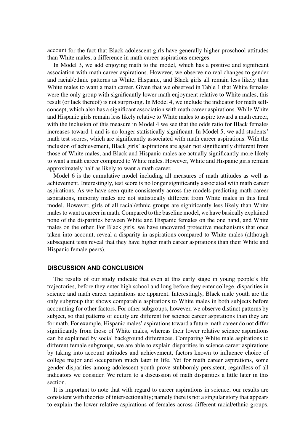account for the fact that Black adolescent girls have generally higher proschool attitudes than White males, a difference in math career aspirations emerges.

In Model 3, we add enjoying math to the model, which has a positive and significant association with math career aspirations. However, we observe no real changes to gender and racial/ethnic patterns as White, Hispanic, and Black girls all remain less likely than White males to want a math career. Given that we observed in Table 1 that White females were the only group with significantly lower math enjoyment relative to White males, this result (or lack thereof) is not surprising. In Model 4, we include the indicator for math selfconcept, which also has a significant association with math career aspirations. While White and Hispanic girls remain less likely relative to White males to aspire toward a math career, with the inclusion of this measure in Model 4 we see that the odds ratio for Black females increases toward 1 and is no longer statistically significant. In Model 5, we add students' math test scores, which are significantly associated with math career aspirations. With the inclusion of achievement, Black girls' aspirations are again not significantly different from those of White males, and Black and Hispanic males are actually significantly more likely to want a math career compared to White males. However, White and Hispanic girls remain approximately half as likely to want a math career.

Model 6 is the cumulative model including all measures of math attitudes as well as achievement. Interestingly, test score is no longer significantly associated with math career aspirations. As we have seen quite consistently across the models predicting math career aspirations, minority males are not statistically different from White males in this final model. However, girls of all racial/ethnic groups are significantly less likely than White males to want a career in math. Compared to the baseline model, we have basically explained none of the disparities between White and Hispanic females on the one hand, and White males on the other. For Black girls, we have uncovered protective mechanisms that once taken into account, reveal a disparity in aspirations compared to White males (although subsequent tests reveal that they have higher math career aspirations than their White and Hispanic female peers).

#### **DISCUSSION AND CONCLUSION**

The results of our study indicate that even at this early stage in young people's life trajectories, before they enter high school and long before they enter college, disparities in science and math career aspirations are apparent. Interestingly, Black male youth are the only subgroup that shows comparable aspirations to White males in both subjects before accounting for other factors. For other subgroups, however, we observe distinct patterns by subject, so that patterns of equity are different for science career aspirations than they are for math. For example, Hispanic males' aspirations toward a future math career do not differ significantly from those of White males, whereas their lower relative science aspirations can be explained by social background differences. Comparing White male aspirations to different female subgroups, we are able to explain disparities in science career aspirations by taking into account attitudes and achievement, factors known to influence choice of college major and occupation much later in life. Yet for math career aspirations, some gender disparities among adolescent youth prove stubbornly persistent, regardless of all indicators we consider. We return to a discussion of math disparities a little later in this section.

It is important to note that with regard to career aspirations in science, our results are consistent with theories of intersectionality; namely there is not a singular story that appears to explain the lower relative aspirations of females across different racial/ethnic groups.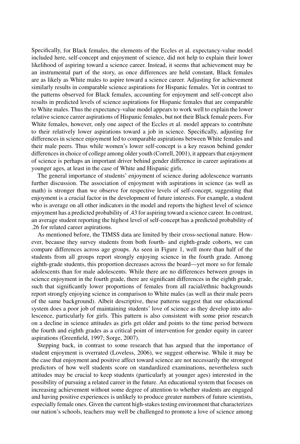Specifically, for Black females, the elements of the Eccles et al. expectancy-value model included here, self-concept and enjoyment of science, did not help to explain their lower likelihood of aspiring toward a science career. Instead, it seems that achievement may be an instrumental part of the story, as once differences are held constant, Black females are as likely as White males to aspire toward a science career. Adjusting for achievement similarly results in comparable science aspirations for Hispanic females. Yet in contrast to the patterns observed for Black females, accounting for enjoyment and self-concept also results in predicted levels of science aspirations for Hispanic females that are comparable to White males. Thus the expectancy-value model appears to work well to explain the lower relative science career aspirations of Hispanic females, but not their Black female peers. For White females, however, only one aspect of the Eccles et al. model appears to contribute to their relatively lower aspirations toward a job in science. Specifically, adjusting for differences in science enjoyment led to comparable aspirations between White females and their male peers. Thus while women's lower self-concept is a key reason behind gender differences in choice of college among older youth (Correll, 2001), it appears that enjoyment of science is perhaps an important driver behind gender difference in career aspirations at younger ages, at least in the case of White and Hispanic girls.

The general importance of students' enjoyment of science during adolescence warrants further discussion. The association of enjoyment with aspirations in science (as well as math) is stronger than we observe for respective levels of self-concept, suggesting that enjoyment is a crucial factor in the development of future interests. For example, a student who is average on all other indicators in the model and reports the highest level of science enjoyment has a predicted probability of .43 for aspiring toward a science career. In contrast, an average student reporting the highest level of self-concept has a predicted probability of .26 for related career aspirations.

As mentioned before, the TIMSS data are limited by their cross-sectional nature. However, because they survey students from both fourth- and eighth-grade cohorts, we can compare differences across age groups. As seen in Figure 1, well more than half of the students from all groups report strongly enjoying science in the fourth grade. Among eighth-grade students, this proportion decreases across the board—yet more so for female adolescents than for male adolescents. While there are no differences between groups in science enjoyment in the fourth grade, there are significant differences in the eighth grade, such that significantly lower proportions of females from all racial/ethnic backgrounds report strongly enjoying science in comparison to White males (as well as their male peers of the same background). Albeit descriptive, these patterns suggest that our educational system does a poor job of maintaining students' love of science as they develop into adolescence, particularly for girls. This pattern is also consistent with some prior research on a decline in science attitudes as girls get older and points to the time period between the fourth and eighth grades as a critical point of intervention for gender equity in career aspirations (Greenfield, 1997; Sorge, 2007).

Stepping back, in contrast to some research that has argued that the importance of student enjoyment is overrated (Loveless, 2006), we suggest otherwise. While it may be the case that enjoyment and positive affect toward science are not necessarily the strongest predictors of how well students score on standardized examinations, nevertheless such attitudes may be crucial to keep students (particularly at younger ages) interested in the possibility of pursuing a related career in the future. An educational system that focuses on increasing achievement without some degree of attention to whether students are engaged and having positive experiences is unlikely to produce greater numbers of future scientists, especially female ones. Given the current high-stakes testing environment that characterizes our nation's schools, teachers may well be challenged to promote a love of science among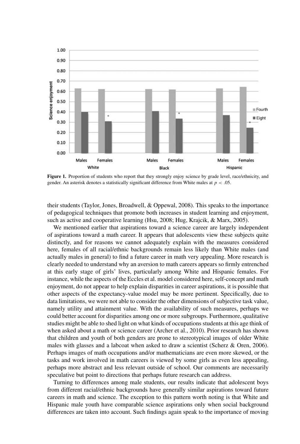

Figure 1. Proportion of students who report that they strongly enjoy science by grade level, race/ethnicity, and gender. An asterisk denotes a statistically significant difference from White males at *p<.*05.

their students (Taylor, Jones, Broadwell, & Oppewal, 2008). This speaks to the importance of pedagogical techniques that promote both increases in student learning and enjoyment, such as active and cooperative learning (Hsu, 2008; Hug, Krajcik, & Marx, 2005).

We mentioned earlier that aspirations toward a science career are largely independent of aspirations toward a math career. It appears that adolescents view these subjects quite distinctly, and for reasons we cannot adequately explain with the measures considered here, females of all racial/ethnic backgrounds remain less likely than White males (and actually males in general) to find a future career in math very appealing. More research is clearly needed to understand why an aversion to math careers appears so firmly entrenched at this early stage of girls' lives, particularly among White and Hispanic females. For instance, while the aspects of the Eccles et al. model considered here, self-concept and math enjoyment, do not appear to help explain disparities in career aspirations, it is possible that other aspects of the expectancy-value model may be more pertinent. Specifically, due to data limitations, we were not able to consider the other dimensions of subjective task value, namely utility and attainment value. With the availability of such measures, perhaps we could better account for disparities among one or more subgroups. Furthermore, qualitative studies might be able to shed light on what kinds of occupations students at this age think of when asked about a math or science career (Archer et al., 2010). Prior research has shown that children and youth of both genders are prone to stereotypical images of older White males with glasses and a labcoat when asked to draw a scientist (Scherz & Oren, 2006). Perhaps images of math occupations and/or mathematicians are even more skewed, or the tasks and work involved in math careers is viewed by some girls as even less appealing, perhaps more abstract and less relevant outside of school. Our comments are necessarily speculative but point to directions that perhaps future research can address.

Turning to differences among male students, our results indicate that adolescent boys from different racial/ethnic backgrounds have generally similar aspirations toward future careers in math and science. The exception to this pattern worth noting is that White and Hispanic male youth have comparable science aspirations only when social background differences are taken into account. Such findings again speak to the importance of moving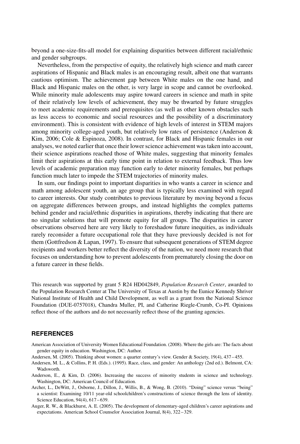beyond a one-size-fits-all model for explaining disparities between different racial/ethnic and gender subgroups.

Nevertheless, from the perspective of equity, the relatively high science and math career aspirations of Hispanic and Black males is an encouraging result, albeit one that warrants cautious optimism. The achievement gap between White males on the one hand, and Black and Hispanic males on the other, is very large in scope and cannot be overlooked. While minority male adolescents may aspire toward careers in science and math in spite of their relatively low levels of achievement, they may be thwarted by future struggles to meet academic requirements and prerequisites (as well as other known obstacles such as less access to economic and social resources and the possibility of a discriminatory environment). This is consistent with evidence of high levels of interest in STEM majors among minority college-aged youth, but relatively low rates of persistence (Anderson & Kim, 2006; Cole & Espinoza, 2008). In contrast, for Black and Hispanic females in our analyses, we noted earlier that once their lower science achievement was taken into account, their science aspirations reached those of White males, suggesting that minority females limit their aspirations at this early time point in relation to external feedback. Thus low levels of academic preparation may function early to deter minority females, but perhaps function much later to impede the STEM trajectories of minority males.

In sum, our findings point to important disparities in who wants a career in science and math among adolescent youth, an age group that is typically less examined with regard to career interests. Our study contributes to previous literature by moving beyond a focus on aggregate differences between groups, and instead highlights the complex patterns behind gender and racial/ethnic disparities in aspirations, thereby indicating that there are no singular solutions that will promote equity for all groups. The disparities in career observations observed here are very likely to foreshadow future inequities, as individuals rarely reconsider a future occupational role that they have previously decided is not for them (Gottfredson & Lapan, 1997). To ensure that subsequent generations of STEM degree recipients and workers better reflect the diversity of the nation, we need more research that focuses on understanding how to prevent adolescents from prematurely closing the door on a future career in these fields.

This research was supported by grant 5 R24 HD042849, *Population Research Center*, awarded to the Population Research Center at The University of Texas at Austin by the Eunice Kennedy Shriver National Institute of Health and Child Development, as well as a grant from the National Science Foundation (DUE-0757018), Chandra Muller, PI, and Catherine Riegle-Crumb, Co-PI. Opinions reflect those of the authors and do not necessarily reflect those of the granting agencies.

#### **REFERENCES**

- American Association of University Women Educational Foundation. (2008). Where the girls are: The facts about gender equity in education. Washington, DC: Author.
- Andersen, M. (2005). Thinking about women: a quarter century's view. Gender & Society, 19(4), 437 455.
- Andersen, M. L., & Collins, P. H. (Eds.). (1995). Race, class, and gender: An anthology (2nd ed.). Belmont, CA: Wadsworth.
- Anderson, E., & Kim, D. (2006). Increasing the success of minority students in science and technology. Washington, DC: American Council of Education.
- Archer, L., DeWitt, J., Osborne, J., Dillon, J., Willis, B., & Wong, B. (2010). "Doing" science versus "being" a scientist: Examining 10/11 year-old schoolchildren's constructions of science through the lens of identity. Science Education, 94(4), 617–639.
- Auger, R. W., & Blackhurst, A. E. (2005). The development of elementary-aged children's career aspirations and expectations. American School Counselor Association Journal, 8(4), 322 – 329.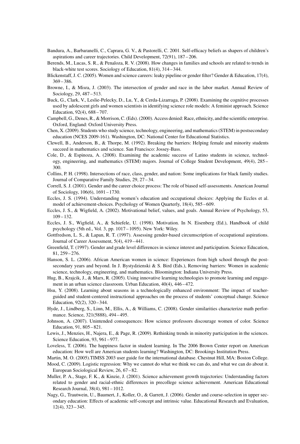- Bandura, A., Barbaranelli, C., Caprara, G. V., & Pastorelli, C. 2001. Self-efficacy beliefs as shapers of children's aspirations and career trajectories. Child Development, 72(91), 187 – 206.
- Berends, M., Lucas, S. R., & Penaloza, R. V. (2008). How changes in families and schools are related to trends in black-white test scores. Sociology of Education, 81(4), 314 – 344.
- Blickenstaff, J. C. (2005). Women and science careers: leaky pipeline or gender filter? Gender & Education, 17(4), 369 – 386.
- Browne, I., & Misra, J. (2003). The intersection of gender and race in the labor market. Annual Review of Sociology, 29, 487–513.
- Buck, G., Clark, V., Leslie-Pelecky, D., Lu, Y., & Cerda-Lizarraga, P. (2008). Examining the cognitive processes used by adolescent girls and women scientists in identifying science role models: A feminist approach. Science Education, 92(4), 688 – 707.
- Campbell, G., Denes, R., & Morrison, C. (Eds). (2000). Access denied: Race, ethnicity, and the scientific enterprise. Oxford, England: Oxford University Press.
- Chen, X. (2009). Students who study science, technology, engineering, and mathematics (STEM) in postsecondary education (NCES 2009-161). Washington, DC: National Center for Educational Statistics.
- Clewell, B., Anderson, B., & Thorpe, M. (1992). Breaking the barriers: Helping female and minority students succeed in mathematics and science. San Francisco: Jossey-Bass.
- Cole, D., & Espinoza, A. (2008). Examining the academic success of Latino students in science, technology, engineering, and mathematics (STEM) majors. Journal of College Student Development, 49(4), 285 – 300.
- Collins, P. H. (1998). Intersections of race, class, gender, and nation: Some implications for black family studies. Journal of Comparative Family Studies, 29, 27 – 34.
- Correll, S. J. (2001). Gender and the career choice process: The role of biased self-assessments. American Journal of Sociology, 106(6), 1691 – 1730.
- Eccles, J. S. (1994). Understanding women's education and occupational choices: Applying the Eccles et al. model of achievement-choices. Psychology of Women Quarterly, 18(4), 585 – 609.
- Eccles, J. S., & Wigfield, A. (2002). Motivational belief, values, and goals. Annual Review of Psychology, 53,  $109 - 132.$
- Eccles, J. S., Wigfield, A., & Schiefele, U. (1998). Motivation. In N. Eisenberg (Ed.), Handbook of child psychology (5th ed., Vol. 3, pp. 1017 – 1095). New York: Wiley.
- Gottfredson, L. S., & Lapan, R. T. (1997). Assessing gender-based circumscription of occupational aspirations. Journal of Career Assessment, 5(4), 419 – 441.
- Greenfield, T. (1997). Gender and grade level differences in science interest and participation. Science Education, 81, 259 – 276.
- Hanson, S. L. (2006). African American women in science: Experiences from high school through the postsecondary years and beyond. In J. Bystydzienski & S. Bird (Eds.), Removing barriers: Women in academic science, technology, engineering, and mathematics. Bloomington: Indiana University Press.
- Hug, B., Krajcik, J., & Marx, R. (2005). Using innovative learning technologies to promote learning and engagement in an urban science classroom. Urban Education, 40(4), 446 – 472.
- Hsu, Y. (2008). Learning about seasons in a technologically enhanced environment: The impact of teacherguided and student-centered instructional approaches on the process of students' conceptual change. Science Education, 92(2), 320 – 344.
- Hyde, J., Lindberg, S., Linn, M., Ellis, A., & Williams, C. (2008). Gender similarities characterize math performance. Science, 321(5888), 494 – 495.
- Johnson, A. (2007). Unintended consequences: How science professors discourage women of color. Science Education, 91, 805 – 821.
- Lewis, J., Menzies, H., Najera, E., & Page, R. (2009). Rethinking trends in minority participation in the sciences. Science Education, 93, 961-977.
- Loveless, T. (2006). The happiness factor in student learning. In The 2006 Brown Center report on American education: How well are American students learning? Washington, DC: Brookings Institution Press.
- Martin, M. O. (2005).TIMSS 2003 user guide for the international database. Chestnut Hill, MA: Boston College. Mood, C. (2009). Logistic regression: Why we cannot do what we think we can do, and what we can do about it.
- European Sociological Review, 26, 67 82.
- Muller, P. A., Stage, F. K., & Kinzie, J. (2001). Science achievement growth trajectories: Understanding factors related to gender and racial-ethnic differences in precollege science achievement. American Educational Research Journal, 38(4), 981 – 1012.
- Nagy, G., Trautwein, U., Baumert, J., Koller, O., & Garrett, J. (2006). Gender and course-selection in upper secondary education: Effects of academic self-concept and intrinsic value. Educational Research and Evaluation, 12(4), 323 – 345.